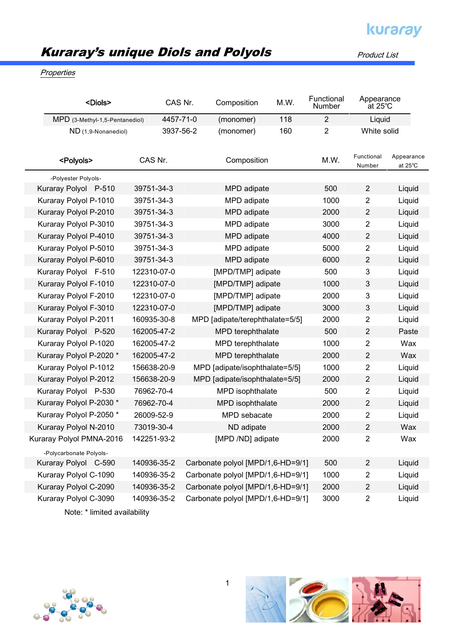## Kuraray's unique Diols and Polyols

Product List

kuraray

#### **Properties**

| <diols></diols>                | CAS Nr.     | Composition                       | M.W. | Functional<br>Number | Appearance<br>$at 25^{\circ}$ C |                       |
|--------------------------------|-------------|-----------------------------------|------|----------------------|---------------------------------|-----------------------|
| MPD (3-Methyl-1,5-Pentanediol) | 4457-71-0   | (monomer)                         | 118  | $\overline{2}$       | Liquid                          |                       |
| ND (1,9-Nonanediol)            | 3937-56-2   | (monomer)                         | 160  | $\overline{c}$       | White solid                     |                       |
| <polyols></polyols>            | CAS Nr.     | Composition                       |      | M.W.                 | Functional<br>Number            | Appearance<br>at 25°C |
| -Polyester Polyols-            |             |                                   |      |                      |                                 |                       |
| Kuraray Polyol P-510           | 39751-34-3  | MPD adipate                       |      | 500                  | $\overline{2}$                  | Liquid                |
| Kuraray Polyol P-1010          | 39751-34-3  | MPD adipate                       |      | 1000                 | $\overline{2}$                  | Liquid                |
| Kuraray Polyol P-2010          | 39751-34-3  | MPD adipate                       |      | 2000                 | $\overline{2}$                  | Liquid                |
| Kuraray Polyol P-3010          | 39751-34-3  | MPD adipate                       |      | 3000                 | $\overline{2}$                  | Liquid                |
| Kuraray Polyol P-4010          | 39751-34-3  | MPD adipate                       |      | 4000                 | $\overline{2}$                  | Liquid                |
| Kuraray Polyol P-5010          | 39751-34-3  | MPD adipate                       |      | 5000                 | $\overline{2}$                  | Liquid                |
| Kuraray Polyol P-6010          | 39751-34-3  | MPD adipate                       |      | 6000                 | $\overline{2}$                  | Liquid                |
| Kuraray Polyol F-510           | 122310-07-0 | [MPD/TMP] adipate                 |      | 500                  | 3                               | Liquid                |
| Kuraray Polyol F-1010          | 122310-07-0 | [MPD/TMP] adipate                 |      | 1000                 | 3                               | Liquid                |
| Kuraray Polyol F-2010          | 122310-07-0 | [MPD/TMP] adipate                 |      | 2000                 | 3                               | Liquid                |
| Kuraray Polyol F-3010          | 122310-07-0 | [MPD/TMP] adipate                 |      | 3000                 | 3                               | Liquid                |
| Kuraray Polyol P-2011          | 160935-30-8 | MPD [adipate/terephthalate=5/5]   |      | 2000                 | $\overline{2}$                  | Liquid                |
| Kuraray Polyol P-520           | 162005-47-2 | MPD terephthalate                 |      | 500                  | $\overline{2}$                  | Paste                 |
| Kuraray Polyol P-1020          | 162005-47-2 | MPD terephthalate                 |      | 1000                 | $\overline{2}$                  | Wax                   |
| Kuraray Polyol P-2020 *        | 162005-47-2 | MPD terephthalate                 |      | 2000                 | $\overline{2}$                  | Wax                   |
| Kuraray Polyol P-1012          | 156638-20-9 | MPD [adipate/isophthalate=5/5]    |      | 1000                 | $\overline{2}$                  | Liquid                |
| Kuraray Polyol P-2012          | 156638-20-9 | MPD [adipate/isophthalate=5/5]    |      | 2000                 | $\overline{2}$                  | Liquid                |
| Kuraray Polyol P-530           | 76962-70-4  | MPD isophthalate                  |      | 500                  | $\overline{2}$                  | Liquid                |
| Kuraray Polyol P-2030 *        | 76962-70-4  | MPD isophthalate                  |      | 2000                 | $\overline{2}$                  | Liquid                |
| Kuraray Polyol P-2050 *        | 26009-52-9  | MPD sebacate                      |      | 2000                 | $\overline{2}$                  | Liquid                |
| Kuraray Polyol N-2010          | 73019-30-4  | ND adipate                        |      | 2000                 | $\overline{2}$                  | Wax                   |
| Kuraray Polyol PMNA-2016       | 142251-93-2 | [MPD /ND] adipate                 |      | 2000                 | 2                               | Wax                   |
| -Polycarbonate Polyols-        |             |                                   |      |                      |                                 |                       |
| Kuraray Polyol C-590           | 140936-35-2 | Carbonate polyol [MPD/1,6-HD=9/1] |      | 500                  | $\overline{2}$                  | Liquid                |
| Kuraray Polyol C-1090          | 140936-35-2 | Carbonate polyol [MPD/1,6-HD=9/1] |      | 1000                 | $\overline{2}$                  | Liquid                |
| Kuraray Polyol C-2090          | 140936-35-2 | Carbonate polyol [MPD/1,6-HD=9/1] |      | 2000                 | $\overline{2}$                  | Liquid                |
| Kuraray Polyol C-3090          | 140936-35-2 | Carbonate polyol [MPD/1,6-HD=9/1] |      | 3000                 | $\overline{2}$                  | Liquid                |

Note: \* limited availability

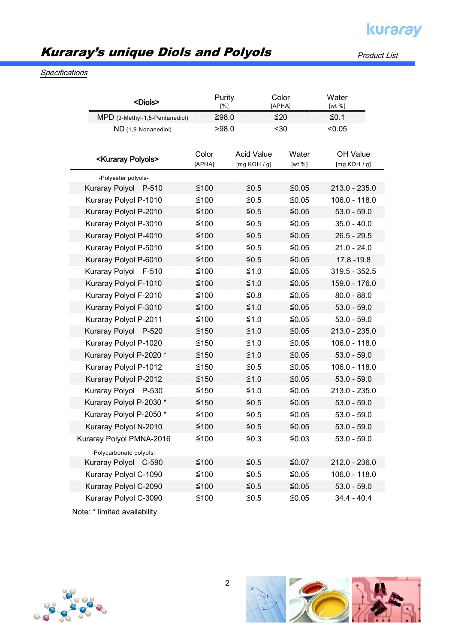## Kuraray's unique Diols and Polyols

Product List

kuraray

#### **Specifications**

| <diols></diols>                                 | Purity<br>[%]   |                                   | Color<br>[APHA]    | Water<br>[wt %]            |  |
|-------------------------------------------------|-----------------|-----------------------------------|--------------------|----------------------------|--|
| MPD (3-Methyl-1,5-Pentanediol)                  | ≥98.0           |                                   | ≦20                | ≤0.1                       |  |
| ND (1,9-Nonanediol)                             | >98.0           |                                   | $30$               | < 0.05                     |  |
| <kuraray polyols=""></kuraray>                  | Color<br>[APHA] | <b>Acid Value</b><br>[mg KOH / g] | Water<br>[wt $%$ ] | OH Value<br>[mg KOH $/$ g] |  |
| -Polyester polyols-                             |                 |                                   |                    |                            |  |
| Kuraray Polyol P-510                            | ≦100            | ≤0.5                              | $≤ 0.05$           | 213.0 - 235.0              |  |
| Kuraray Polyol P-1010                           | ≦100            | $≤ 0.5$                           | $≤0.05$            | 106.0 - 118.0              |  |
| Kuraray Polyol P-2010                           | ≦100            | $≤ 0.5$                           | $≤0.05$            | $53.0 - 59.0$              |  |
| Kuraray Polyol P-3010                           | ≦100            | $≤ 0.5$                           | ≤0.05              | $35.0 - 40.0$              |  |
| Kuraray Polyol P-4010                           | ≦100            | $≤ 0.5$                           | $≤0.05$            | $26.5 - 29.5$              |  |
| Kuraray Polyol P-5010                           | ≦100            | $≤$ 0.5                           | $≤0.05$            | $21.0 - 24.0$              |  |
| Kuraray Polyol P-6010                           | ≦100            | $≤ 0.5$                           | $≤0.05$            | $17.8 - 19.8$              |  |
| Kuraray Polyol F-510                            | $≤100$          | ≤1.0                              | $≤0.05$            | $319.5 - 352.5$            |  |
| Kuraray Polyol F-1010                           | $≤100$          | $≤1.0$                            | $≤0.05$            | 159.0 - 176.0              |  |
| Kuraray Polyol F-2010                           | ≦100            | ≤0.8                              | $≤ 0.05$           | $80.0 - 88.0$              |  |
| Kuraray Polyol F-3010                           | ≦100            | $≤1.0$                            | $≤0.05$            | $53.0 - 59.0$              |  |
| Kuraray Polyol P-2011                           | ≦100            | ≤1.0                              | $≤0.05$            | $53.0 - 59.0$              |  |
| Kuraray Polyol P-520                            | $≤150$          | $≤1.0$                            | $≤0.05$            | 213.0 - 235.0              |  |
| Kuraray Polyol P-1020                           | $≤150$          | $≤1.0$                            | $≤0.05$            | 106.0 - 118.0              |  |
| Kuraray Polyol P-2020 *                         | $≤150$          | $≤1.0$                            | $≤0.05$            | $53.0 - 59.0$              |  |
| Kuraray Polyol P-1012                           | $≤150$          | $≤ 0.5$                           | $≤0.05$            | $106.0 - 118.0$            |  |
| Kuraray Polyol P-2012                           | ≦150            | $≤1.0$                            | $≤0.05$            | $53.0 - 59.0$              |  |
| Kuraray Polyol P-530                            | $≤150$          | ≤1.0                              | $≤0.05$            | 213.0 - 235.0              |  |
| Kuraray Polyol P-2030 *                         | $≤150$          | $≤ 0.5$                           | $≤0.05$            | $53.0 - 59.0$              |  |
| Kuraray Polyol P-2050 *                         | ≦100            | $≤ 0.5$                           | $≤0.05$            | $53.0 - 59.0$              |  |
| Kuraray Polyol N-2010                           | ≦100            | $≤ 0.5$                           | $≤0.05$            | $53.0 - 59.0$              |  |
| Kuraray Polyol PMNA-2016                        | ≦100            | ≦0.3                              | ≤0.03              | $53.0 - 59.0$              |  |
| -Polycarbonate polyols-<br>Kuraray Polyol C-590 | $≤100$          | $≤ 0.5$                           | ≦ $0.07$           | 212.0 - 236.0              |  |
| Kuraray Polyol C-1090                           | ≦100            | $≤$ 0.5                           | $≤0.05$            | 106.0 - 118.0              |  |
| Kuraray Polyol C-2090                           | ≦100            | $≤ 0.5$                           | $≤0.05$            | $53.0 - 59.0$              |  |
| Kuraray Polyol C-3090                           | $≤100$          | $≤$ 0.5                           | $≤ 0.05$           | $34.4 - 40.4$              |  |
| Note: * limited availability                    |                 |                                   |                    |                            |  |



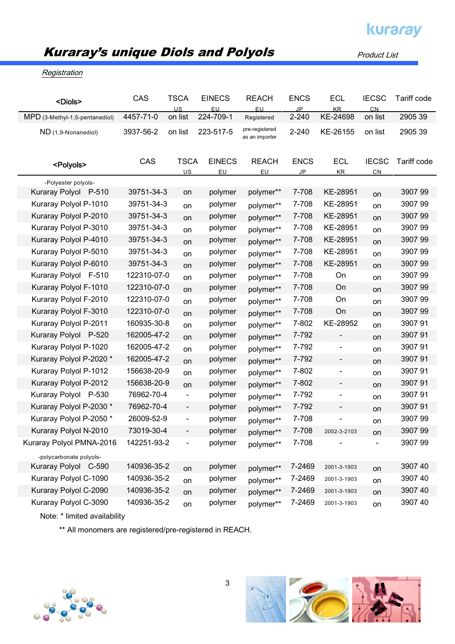# kuraray

## Kuraray's unique Diols and Polyols

Product List

#### Registration

| <diols></diols>                                 | CAS         | <b>TSCA</b><br>US            | <b>EINECS</b><br>EU        | <b>REACH</b><br>EU.              | <b>ENCS</b><br>JP. | <b>ECL</b><br>KR.        | <b>IECSC</b><br><b>CN</b> | Tariff code |
|-------------------------------------------------|-------------|------------------------------|----------------------------|----------------------------------|--------------------|--------------------------|---------------------------|-------------|
| MPD (3-Methyl-1,5-pentanediol)                  | 4457-71-0   | on list                      | 224-709-1                  | Registered                       | $2 - 240$          | KE-24698                 | on list                   | 2905 39     |
| ND (1,9-Nonanediol)                             | 3937-56-2   | on list                      | 223-517-5                  | pre-registered<br>as an importer | $2 - 240$          | KE-26155                 | on list                   | 2905 39     |
| <polyols></polyols>                             | CAS         | <b>TSCA</b><br><u>US</u>     | <b>EINECS</b><br><u>EU</u> | <b>REACH</b><br>EU               | <b>ENCS</b><br>JP  | <b>ECL</b><br>KR         | <b>IECSC</b><br>CN        | Tariff code |
| -Polyester polyols-                             |             |                              |                            |                                  |                    |                          |                           |             |
| Kuraray Polyol P-510                            | 39751-34-3  | on                           | polymer                    | polymer**                        | 7-708              | KE-28951                 | on                        | 3907 99     |
| Kuraray Polyol P-1010                           | 39751-34-3  | on                           | polymer                    | polymer**                        | 7-708              | KE-28951                 | on                        | 3907 99     |
| Kuraray Polyol P-2010                           | 39751-34-3  | on                           | polymer                    | polymer**                        | 7-708              | KE-28951                 | on                        | 3907 99     |
| Kuraray Polyol P-3010                           | 39751-34-3  | on                           | polymer                    | polymer**                        | 7-708              | KE-28951                 | on                        | 3907 99     |
| Kuraray Polyol P-4010                           | 39751-34-3  | on                           | polymer                    | polymer**                        | 7-708              | KE-28951                 | on                        | 3907 99     |
| Kuraray Polyol P-5010                           | 39751-34-3  | on                           | polymer                    | polymer**                        | 7-708              | KE-28951                 | on                        | 3907 99     |
| Kuraray Polyol P-6010                           | 39751-34-3  | on                           | polymer                    | polymer**                        | 7-708              | KE-28951                 | on                        | 3907 99     |
| Kuraray Polyol F-510                            | 122310-07-0 | on                           | polymer                    | polymer**                        | 7-708              | On                       | on                        | 3907 99     |
| Kuraray Polyol F-1010                           | 122310-07-0 | on                           | polymer                    | polymer**                        | 7-708              | On                       | on                        | 3907 99     |
| Kuraray Polyol F-2010                           | 122310-07-0 | on                           | polymer                    | polymer**                        | 7-708              | On                       | on                        | 3907 99     |
| Kuraray Polyol F-3010                           | 122310-07-0 | on                           | polymer                    | polymer**                        | 7-708              | On                       | on                        | 3907 99     |
| Kuraray Polyol P-2011                           | 160935-30-8 | on                           | polymer                    | polymer**                        | 7-802              | KE-28952                 | on                        | 390791      |
| Kuraray Polyol P-520                            | 162005-47-2 | on                           | polymer                    | polymer**                        | 7-792              | $\overline{\phantom{a}}$ | on                        | 390791      |
| Kuraray Polyol P-1020                           | 162005-47-2 | on                           | polymer                    | polymer**                        | 7-792              |                          | on                        | 390791      |
| Kuraray Polyol P-2020 *                         | 162005-47-2 | on                           | polymer                    | polymer**                        | 7-792              | $\overline{\phantom{a}}$ | on                        | 390791      |
| Kuraray Polyol P-1012                           | 156638-20-9 | on                           | polymer                    | polymer**                        | 7-802              | $\blacksquare$           | on                        | 390791      |
| Kuraray Polyol P-2012                           | 156638-20-9 | on                           | polymer                    | polymer**                        | 7-802              | -                        | on                        | 390791      |
| Kuraray Polyol P-530                            | 76962-70-4  | $\overline{\phantom{a}}$     | polymer                    | polymer**                        | 7-792              | $\overline{\phantom{a}}$ | on                        | 390791      |
| Kuraray Polyol P-2030 *                         | 76962-70-4  | $\overline{\phantom{a}}$     | polymer                    | polymer**                        | 7-792              | $\overline{\phantom{a}}$ | on                        | 390791      |
| Kuraray Polyol P-2050 *                         | 26009-52-9  | $\blacksquare$               | polymer                    | polymer**                        | 7-708              |                          | on                        | 3907 99     |
| Kuraray Polyol N-2010                           | 73019-30-4  | $\qquad \qquad \blacksquare$ | polymer                    | polymer**                        | 7-708              | 2002-3-2103              | on                        | 3907 99     |
| Kuraray Polyol PMNA-2016                        | 142251-93-2 | $\blacksquare$               | polymer                    | polymer**                        | 7-708              |                          | -                         | 3907 99     |
| -polycarbonate polyols-<br>Kuraray Polyol C-590 | 140936-35-2 |                              | polymer                    | polymer**                        | 7-2469             | 2001-3-1903              |                           | 3907 40     |
| Kuraray Polyol C-1090                           | 140936-35-2 | on                           | polymer                    |                                  | 7-2469             | 2001-3-1903              | on                        | 3907 40     |
| Kuraray Polyol C-2090                           | 140936-35-2 | on                           | polymer                    | polymer**                        | 7-2469             | 2001-3-1903              | on                        | 3907 40     |
| Kuraray Polyol C-3090                           | 140936-35-2 | on                           | polymer                    | polymer**                        | 7-2469             | 2001-3-1903              | on                        | 3907 40     |
|                                                 |             | on                           |                            | polymer**                        |                    |                          | on                        |             |

Note: \* limited availability

\*\* All monomers are registered/pre-registered in REACH.



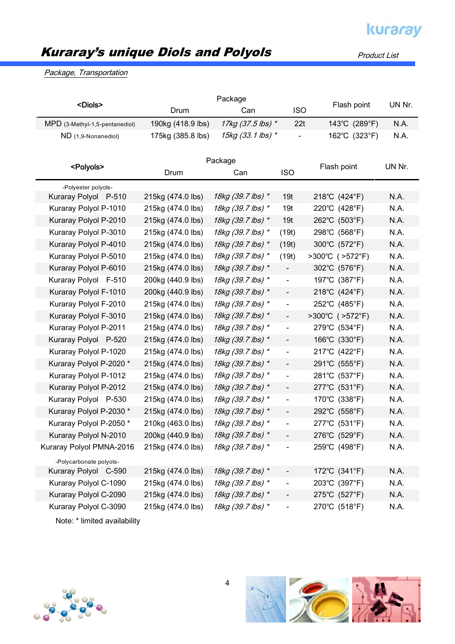## Kuraray's unique Diols and Polyols

#### Package, Transportation

|                                | Package           |                   |                              |                  |        |  |
|--------------------------------|-------------------|-------------------|------------------------------|------------------|--------|--|
| <diols></diols>                | Drum              | Can               | <b>ISO</b>                   | Flash point      | UN Nr. |  |
| MPD (3-Methyl-1,5-pentanediol) | 190kg (418.9 lbs) | 17kg (37.5 lbs) * | 22t                          | 143°C (289°F)    | N.A.   |  |
| ND (1,9-Nonanediol)            | 175kg (385.8 lbs) | 15kg (33.1 lbs) * | $\overline{\phantom{a}}$     | 162°C (323°F)    | N.A.   |  |
|                                |                   |                   |                              |                  |        |  |
|                                | Package           |                   |                              |                  |        |  |
| <polyols></polyols>            | Drum              | Can               | <b>ISO</b>                   | Flash point      | UN Nr. |  |
| -Polyester polyols-            |                   |                   |                              |                  |        |  |
| Kuraray Polyol P-510           | 215kg (474.0 lbs) | 18kg (39.7 lbs) * | 19 <sub>t</sub>              | 218°C (424°F)    | N.A.   |  |
| Kuraray Polyol P-1010          | 215kg (474.0 lbs) | 18kg (39.7 lbs) * | 19t                          | 220°C (428°F)    | N.A.   |  |
| Kuraray Polyol P-2010          | 215kg (474.0 lbs) | 18kg (39.7 lbs) * | 19 <sub>t</sub>              | 262°C (503°F)    | N.A.   |  |
| Kuraray Polyol P-3010          | 215kg (474.0 lbs) | 18kg (39.7 lbs) * | (19t)                        | 298°C (568°F)    | N.A.   |  |
| Kuraray Polyol P-4010          | 215kg (474.0 lbs) | 18kg (39.7 lbs) * | (19t)                        | 300°C (572°F)    | N.A.   |  |
| Kuraray Polyol P-5010          | 215kg (474.0 lbs) | 18kg (39.7 lbs) * | (19t)                        | >300°C ( >572°F) | N.A.   |  |
| Kuraray Polyol P-6010          | 215kg (474.0 lbs) | 18kg (39.7 lbs) * | $\qquad \qquad \blacksquare$ | 302°C (576°F)    | N.A.   |  |
| Kuraray Polyol F-510           | 200kg (440.9 lbs) | 18kg (39.7 lbs) * | $\blacksquare$               | 197°C (387°F)    | N.A.   |  |
| Kuraray Polyol F-1010          | 200kg (440.9 lbs) | 18kg (39.7 lbs) * | $\qquad \qquad \blacksquare$ | 218°C (424°F)    | N.A.   |  |
| Kuraray Polyol F-2010          | 215kg (474.0 lbs) | 18kg (39.7 lbs) * | $\overline{\phantom{0}}$     | 252°C (485°F)    | N.A.   |  |
| Kuraray Polyol F-3010          | 215kg (474.0 lbs) | 18kg (39.7 lbs) * | $\frac{1}{2}$                | >300°C (>572°F)  | N.A.   |  |
| Kuraray Polyol P-2011          | 215kg (474.0 lbs) | 18kg (39.7 lbs) * | $\qquad \qquad \blacksquare$ | 279°C (534°F)    | N.A.   |  |
| Kuraray Polyol P-520           | 215kg (474.0 lbs) | 18kg (39.7 lbs) * | $\overline{\phantom{a}}$     | 166°C (330°F)    | N.A.   |  |
| Kuraray Polyol P-1020          | 215kg (474.0 lbs) | 18kg (39.7 lbs) * | $\overline{\phantom{0}}$     | 217°C (422°F)    | N.A.   |  |
| Kuraray Polyol P-2020 *        | 215kg (474.0 lbs) | 18kg (39.7 lbs) * | $\overline{\phantom{0}}$     | 291°C (555°F)    | N.A.   |  |
| Kuraray Polyol P-1012          | 215kg (474.0 lbs) | 18kg (39.7 lbs) * | $\qquad \qquad \blacksquare$ | 281°C (537°F)    | N.A.   |  |
| Kuraray Polyol P-2012          | 215kg (474.0 lbs) | 18kg (39.7 lbs) * | $\qquad \qquad \blacksquare$ | 277°C (531°F)    | N.A.   |  |
| Kuraray Polyol P-530           | 215kg (474.0 lbs) | 18kg (39.7 lbs) * | $\blacksquare$               | 170°C (338°F)    | N.A.   |  |
| Kuraray Polyol P-2030 *        | 215kg (474.0 lbs) | 18kg (39.7 lbs) * |                              | 292°C (558°F)    | N.A.   |  |
| Kuraray Polyol P-2050 *        | 210kg (463.0 lbs) | 18kg (39.7 lbs) * |                              | 277°C (531°F)    | N.A.   |  |
| Kuraray Polyol N-2010          | 200kg (440.9 lbs) | 18kg (39.7 lbs) * | -                            | 276°C (529°F)    | N.A.   |  |
| Kuraray Polyol PMNA-2016       | 215kg (474.0 lbs) | 18kg (39.7 lbs) * | $\overline{\phantom{a}}$     | 259°C (498°F)    | N.A.   |  |
| -Polycarbonate polyols-        |                   |                   |                              |                  |        |  |
| Kuraray Polyol C-590           | 215kg (474.0 lbs) | 18kg (39.7 lbs) * |                              | 172°C (341°F)    | N.A.   |  |
| Kuraray Polyol C-1090          | 215kg (474.0 lbs) | 18kg (39.7 lbs) * |                              | 203°C (397°F)    | N.A.   |  |
| Kuraray Polyol C-2090          | 215kg (474.0 lbs) | 18kg (39.7 lbs) * | $\overline{\phantom{a}}$     | 275°C (527°F)    | N.A.   |  |
| Kuraray Polyol C-3090          | 215kg (474.0 lbs) | 18kg (39.7 lbs) * | $\overline{\phantom{0}}$     | 270°C (518°F)    | N.A.   |  |

Note: \* limited availability







Product List

4